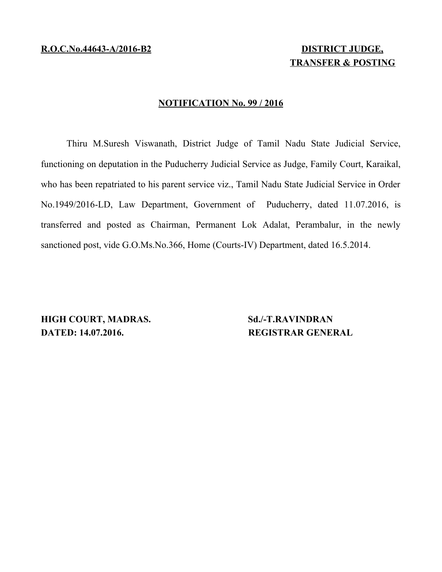# **TRANSFER & POSTING**

#### **NOTIFICATION No. 99 / 2016**

Thiru M.Suresh Viswanath, District Judge of Tamil Nadu State Judicial Service, functioning on deputation in the Puducherry Judicial Service as Judge, Family Court, Karaikal, who has been repatriated to his parent service viz., Tamil Nadu State Judicial Service in Order No.1949/2016-LD, Law Department, Government of Puducherry, dated 11.07.2016, is transferred and posted as Chairman, Permanent Lok Adalat, Perambalur, in the newly sanctioned post, vide G.O.Ms.No.366, Home (Courts-IV) Department, dated 16.5.2014.

**HIGH COURT, MADRAS.** Sd./-T.RAVINDRAN **DATED: 14.07.2016.** REGISTRAR GENERAL